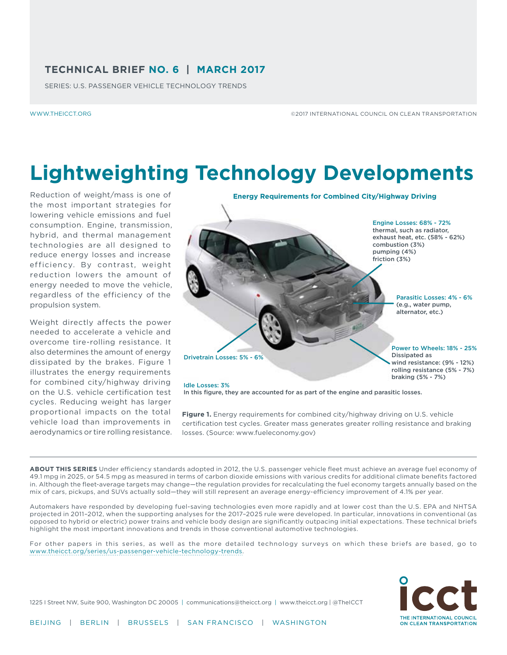### **TECHNICAL BRIEF NO. 6 | MARCH 2017**

SERIES: U.S. PASSENGER VEHICLE TECHNOLOGY TRENDS

[WWW.THEICCT.ORG](www.theicct.org)

©2017 INTERNATIONAL COUNCIL ON CLEAN TRANSPORTATION

# **Lightweighting Technology Developments**

Reduction of weight/mass is one of the most important strategies for lowering vehicle emissions and fuel consumption. Engine, transmission, hybrid, and thermal management technologies are all designed to reduce energy losses and increase efficiency. By contrast, weight reduction lowers the amount of energy needed to move the vehicle, regardless of the efficiency of the propulsion system.

Weight directly affects the power needed to accelerate a vehicle and overcome tire-rolling resistance. It also determines the amount of energy dissipated by the brakes. Figure 1 illustrates the energy requirements for combined city/highway driving on the U.S. vehicle certification test cycles. Reducing weight has larger proportional impacts on the total vehicle load than improvements in aerodynamics or tire rolling resistance.



**Figure 1.** Energy requirements for combined city/highway driving on U.S. vehicle certification test cycles. Greater mass generates greater rolling resistance and braking losses. (Source: www.fueleconomy.gov)

ABOUT THIS SERIES Under efficiency standards adopted in 2012, the U.S. passenger vehicle fleet must achieve an average fuel economy of 49.1 mpg in 2025, or 54.5 mpg as measured in terms of carbon dioxide emissions with various credits for additional climate benefits factored in. Although the fleet-average targets may change—the regulation provides for recalculating the fuel economy targets annually based on the mix of cars, pickups, and SUVs actually sold—they will still represent an average energy-efficiency improvement of 4.1% per year.

Automakers have responded by developing fuel-saving technologies even more rapidly and at lower cost than the U.S. EPA and NHTSA projected in 2011–2012, when the supporting analyses for the 2017–2025 rule were developed. In particular, innovations in conventional (as opposed to hybrid or electric) power trains and vehicle body design are significantly outpacing initial expectations. These technical briefs highlight the most important innovations and trends in those conventional automotive technologies.

For other papers in this series, as well as the more detailed technology surveys on which these briefs are based, go to [www.theicct.org/series/us-passenger-vehicle-technology-trends.](http://www.theicct.org/series/us-passenger-vehicle-technology-trends)



1225 I Street NW, Suite 900, Washington DC 20005 | [communications@theicct.org](mailto:communications%40theicct.org?subject=) | <www.theicct.org>| [@TheICCT](https://twitter.com/TheICCT)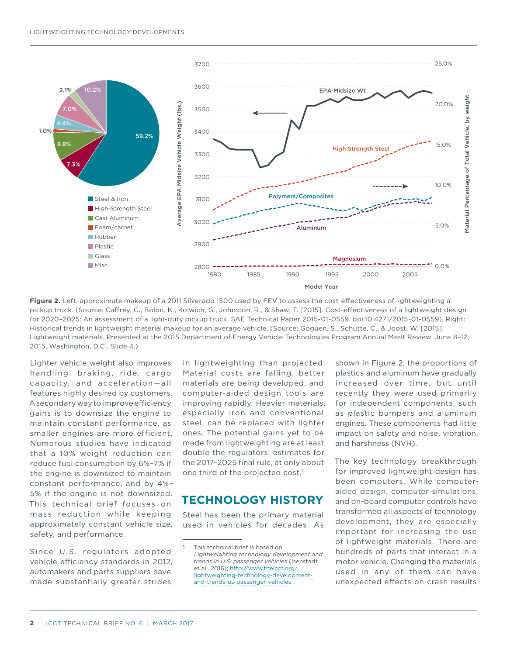

**Figure 2.** Left: approximate makeup of a 2011 Silverado 1500 used by FEV to assess the cost-efectiveness of lightweighting a pickup truck. (Source: Cafrey, C., Bolon, K., Kolwich, G., Johnston, R., & Shaw, T. [2015]. Cost-efectiveness of a lightweight design for 2020–2025: An assessment of a light-duty pickup truck. SAE Technical Paper 2015-01-0559, doi:10.4271/2015-01-0559). Right: Historical trends in lightweight material makeup for an average vehicle. (Source: Goguen, S., Schutte, C., & Joost, W. [2015]. Lightweight materials. Presented at the 2015 Department of Energy Vehicle Technologies Program Annual Merit Review, June 8–12, 2015, Washington, D.C., Slide 4.)

Lighter vehicle weight also improves handling, braking, ride, cargo capacity, and acceleration—all features highly desired by customers. A secondary way to improve efficiency gains is to downsize the engine to maintain constant performance, as smaller engines are more efficient. Numerous studies have indicated that a 10% weight reduction can reduce fuel consumption by 6%–7% if the engine is downsized to maintain constant performance, and by 4%– 5% if the engine is not downsized. This technical brief focuses on mass reduction while keeping approximately constant vehicle size, safety, and performance.

Since U.S. regulators adopted vehicle efficiency standards in 2012, automakers and parts suppliers have made substantially greater strides

in lightweighting than projected. Material costs are falling, better materials are being developed, and computer-aided design tools are improving rapidly. Heavier materials, especially iron and conventional steel, can be replaced with lighter ones. The potential gains yet to be made from lightweighting are at least double the regulators' estimates for the 2017–2025 final rule, at only about one third of the projected cost.<sup>1</sup>

### **TECHNOLOGY HISTORY**

Steel has been the primary material used in vehicles for decades. As shown in Figure 2, the proportions of plastics and aluminum have gradually increased over time, but until recently they were used primarily for independent components, such as plastic bumpers and aluminum engines. These components had little impact on safety and noise, vibration, and harshness (NVH).

The key technology breakthrough for improved lightweight design has been computers. While computeraided design, computer simulations, and on-board computer controls have transformed all aspects of technology development, they are especially important for increasing the use of lightweight materials. There are hundreds of parts that interact in a motor vehicle. Changing the materials used in any of them can have unexpected efects on crash results

This technical brief is based on *Lightweighting technology development and trends in U.S. passenger vehicles* (Isenstadt et al., 2016); [http://www.theicct.org/](http://www.theicct.org/lightweighting-technology-development-and-trends-us-passenger-vehicles) [lightweighting-technology-development](http://www.theicct.org/lightweighting-technology-development-and-trends-us-passenger-vehicles)[and-trends-us-passenger-vehicles](http://www.theicct.org/lightweighting-technology-development-and-trends-us-passenger-vehicles)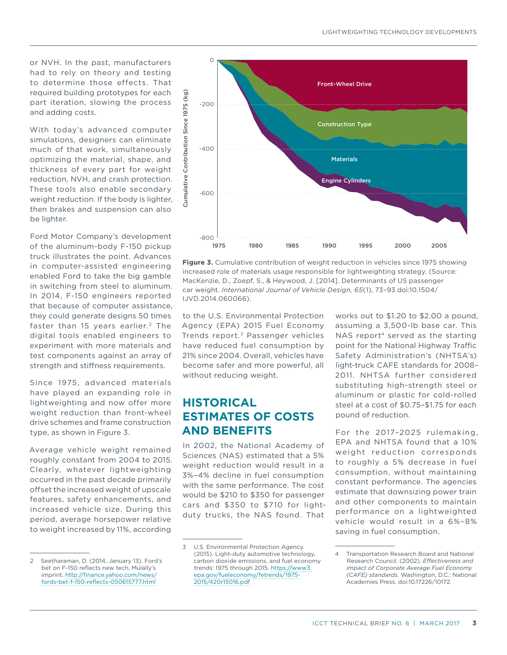or NVH. In the past, manufacturers had to rely on theory and testing to determine those effects. That required building prototypes for each part iteration, slowing the process and adding costs.

With today's advanced computer simulations, designers can eliminate much of that work, simultaneously optimizing the material, shape, and thickness of every part for weight reduction, NVH, and crash protection. These tools also enable secondary weight reduction. If the body is lighter, then brakes and suspension can also be lighter.

Ford Motor Company's development of the aluminum-body F-150 pickup truck illustrates the point. Advances in computer-assisted engineering enabled Ford to take the big gamble in switching from steel to aluminum. In 2014, F-150 engineers reported that because of computer assistance, they could generate designs 50 times faster than 15 years earlier.<sup>2</sup> The digital tools enabled engineers to experiment with more materials and test components against an array of strength and stifness requirements.

Since 1975, advanced materials have played an expanding role in lightweighting and now offer more weight reduction than front-wheel drive schemes and frame construction type, as shown in Figure 3.

Average vehicle weight remained roughly constant from 2004 to 2015. Clearly, whatever lightweighting occurred in the past decade primarily offset the increased weight of upscale features, safety enhancements, and increased vehicle size. During this period, average horsepower relative to weight increased by 11%, according



**Figure 3.** Cumulative contribution of weight reduction in vehicles since 1975 showing increased role of materials usage responsible for lightweighting strategy. (Source: MacKenzie, D., Zoepf, S., & Heywood, J. [2014]. Determinants of US passenger car weight. *International Journal of Vehicle Design, 65*(1), 73–93 doi:10.1504/ IJVD.2014.060066).

to the U.S. Environmental Protection Agency (EPA) 2015 Fuel Economy Trends report.<sup>3</sup> Passenger vehicles have reduced fuel consumption by 21% since 2004. Overall, vehicles have become safer and more powerful, all without reducing weight.

### **HISTORICAL ESTIMATES OF COSTS AND BENEFITS**

In 2002, the National Academy of Sciences (NAS) estimated that a 5% weight reduction would result in a 3%–4% decline in fuel consumption with the same performance. The cost would be \$210 to \$350 for passenger cars and \$350 to \$710 for lightduty trucks, the NAS found. That

works out to \$1.20 to \$2.00 a pound, assuming a 3,500-lb base car. This NAS report<sup>4</sup> served as the starting point for the National Highway Traffic Safety Administration's (NHTSA's) light-truck CAFE standards for 2008– 2011. NHTSA further considered substituting high-strength steel or aluminum or plastic for cold-rolled steel at a cost of \$0.75–\$1.75 for each pound of reduction.

For the 2017–2025 rulemaking, EPA and NHTSA found that a 10% weight reduction corresponds to roughly a 5% decrease in fuel consumption, without maintaining constant performance. The agencies estimate that downsizing power train and other components to maintain performance on a lightweighted vehicle would result in a 6%–8% saving in fuel consumption.

<sup>2</sup> Seetharaman, D. (2014, January 13). Ford's bet on F-150 reflects new tech, Mulally's imprint. [http://finance.yahoo.com/news/](http://finance.yahoo.com/news/fords-bet-f-150-reflects-050615777.html) [fords-bet-f-150-reflects-050615777.html](http://finance.yahoo.com/news/fords-bet-f-150-reflects-050615777.html)

<sup>3</sup> U.S. Environmental Protection Agency. (2015). Light-duty automotive technology, carbon dioxide emissions, and fuel economy trends: 1975 through 2015. [https://www3.](https://www3.epa.gov/fueleconomy/fetrends/1975-2015/420r15016.pdf) [epa.gov/fueleconomy/fetrends/1975-](https://www3.epa.gov/fueleconomy/fetrends/1975-2015/420r15016.pdf) [2015/420r15016.pdf](https://www3.epa.gov/fueleconomy/fetrends/1975-2015/420r15016.pdf)

Transportation Research Board and National Research Council. (2002). *Efectiveness and impact of Corporate Average Fuel Economy (CAFE) standards.* Washington, D.C.: National Academies Press. doi:10.17226/10172.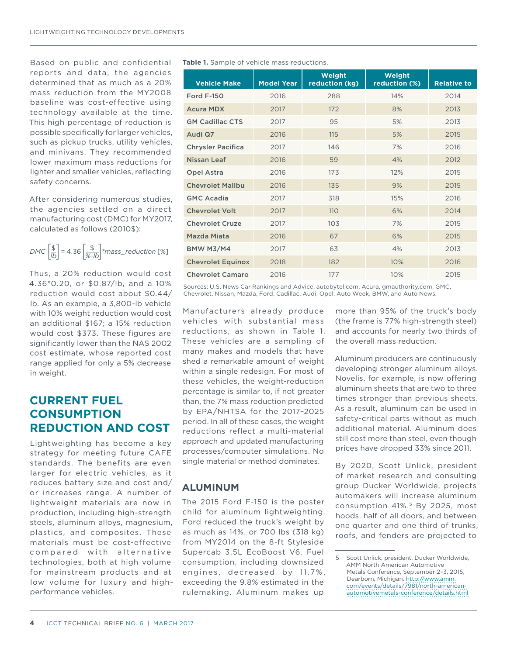Based on public and confidential reports and data, the agencies determined that as much as a 20% mass reduction from the MY2008 baseline was cost-effective using technology available at the time. This high percentage of reduction is possible specifically for larger vehicles, such as pickup trucks, utility vehicles, and minivans. They recommended lower maximum mass reductions for lighter and smaller vehicles, reflecting safety concerns.

After considering numerous studies, the agencies settled on a direct manufacturing cost (DMC) for MY2017, calculated as follows (2010\$):

$$
DMC\left[\frac{\$}{lb}\right] = 4.36\left[\frac{\$}{\% - lb}\right] * mass\_reduction \ [ \%]
$$

Thus, a 20% reduction would cost 4.36\*0.20, or \$0.87/lb, and a 10% reduction would cost about \$0.44/ lb. As an example, a 3,800-lb vehicle with 10% weight reduction would cost an additional \$167; a 15% reduction would cost \$373. These figures are significantly lower than the NAS 2002 cost estimate, whose reported cost range applied for only a 5% decrease in weight.

### **CURRENT FUEL CONSUMPTION REDUCTION AND COST**

Lightweighting has become a key strategy for meeting future CAFE standards. The benefits are even larger for electric vehicles, as it reduces battery size and cost and/ or increases range. A number of lightweight materials are now in production, including high-strength steels, aluminum alloys, magnesium, plastics, and composites. These materials must be cost-effective compared with alternative technologies, both at high volume for mainstream products and at low volume for luxury and highperformance vehicles.

#### **Table 1.** Sample of vehicle mass reductions.

| <b>Vehicle Make</b>      | <b>Model Year</b> | Weight<br>reduction (kg) | Weight<br>reduction (%) | <b>Relative to</b> |
|--------------------------|-------------------|--------------------------|-------------------------|--------------------|
| <b>Ford F-150</b>        | 2016              | 288                      | 14%                     | 2014               |
| <b>Acura MDX</b>         | 2017              | 172                      | 8%                      | 2013               |
| <b>GM Cadillac CTS</b>   | 2017              | 95                       | 5%                      | 2013               |
| Audi Q7                  | 2016              | 115                      | 5%                      | 2015               |
| <b>Chrysler Pacifica</b> | 2017              | 146                      | 7%                      | 2016               |
| Nissan Leaf              | 2016              | 59                       | 4%                      | 2012               |
| Opel Astra               | 2016              | 173                      | 12%                     | 2015               |
| <b>Chevrolet Malibu</b>  | 2016              | 135                      | 9%                      | 2015               |
| <b>GMC Acadia</b>        | 2017              | 318                      | 15%                     | 2016               |
| <b>Chevrolet Volt</b>    | 2017              | <b>110</b>               | 6%                      | 2014               |
| <b>Chevrolet Cruze</b>   | 2017              | 103                      | 7%                      | 2015               |
| Mazda Miata              | 2016              | 67                       | 6%                      | 2015               |
| <b>BMW M3/M4</b>         | 2017              | 63                       | 4%                      | 2013               |
| <b>Chevrolet Equinox</b> | 2018              | 182                      | 10%                     | 2016               |
| <b>Chevrolet Camaro</b>  | 2016              | 177                      | 10%                     | 2015               |

Sources: U.S. News Car Rankings and Advice, autobytel.com, Acura, gmauthority.com, GMC, Chevrolet, Nissan, Mazda, Ford, Cadillac, Audi, Opel, Auto Week, BMW, and Auto News.

Manufacturers already produce vehicles with substantial mass reductions, as shown in Table 1. These vehicles are a sampling of many makes and models that have shed a remarkable amount of weight within a single redesign. For most of these vehicles, the weight-reduction percentage is similar to, if not greater than, the 7% mass reduction predicted by EPA/NHTSA for the 2017–2025 period. In all of these cases, the weight reductions reflect a multi-material approach and updated manufacturing processes/computer simulations. No single material or method dominates.

### **ALUMINUM**

The 2015 Ford F-150 is the poster child for aluminum lightweighting. Ford reduced the truck's weight by as much as 14%, or 700 lbs (318 kg) from MY2014 on the 8-ft Styleside Supercab 3.5L EcoBoost V6. Fuel consumption, including downsized engines, decreased by 11.7%, exceeding the 9.8% estimated in the rulemaking. Aluminum makes up

more than 95% of the truck's body (the frame is 77% high-strength steel) and accounts for nearly two thirds of the overall mass reduction.

Aluminum producers are continuously developing stronger aluminum alloys. Novelis, for example, is now offering aluminum sheets that are two to three times stronger than previous sheets. As a result, aluminum can be used in safety-critical parts without as much additional material. Aluminum does still cost more than steel, even though prices have dropped 33% since 2011.

By 2020, Scott Unlick, president of market research and consulting group Ducker Worldwide, projects automakers will increase aluminum consumption 41%.5 By 2025, most hoods, half of all doors, and between one quarter and one third of trunks, roofs, and fenders are projected to

<sup>5</sup> Scott Unlick, president, Ducker Worldwide, AMM North American Automotive Metals Conference, September 2–3, 2015, Dearborn, Michigan. [http://www.amm.](http://www.amm.com/events/details/7981/north-american-automotivemetals-conference/details.html) [com/events/details/7981/north-american](http://www.amm.com/events/details/7981/north-american-automotivemetals-conference/details.html)[automotivemetals-conference/details.html](http://www.amm.com/events/details/7981/north-american-automotivemetals-conference/details.html)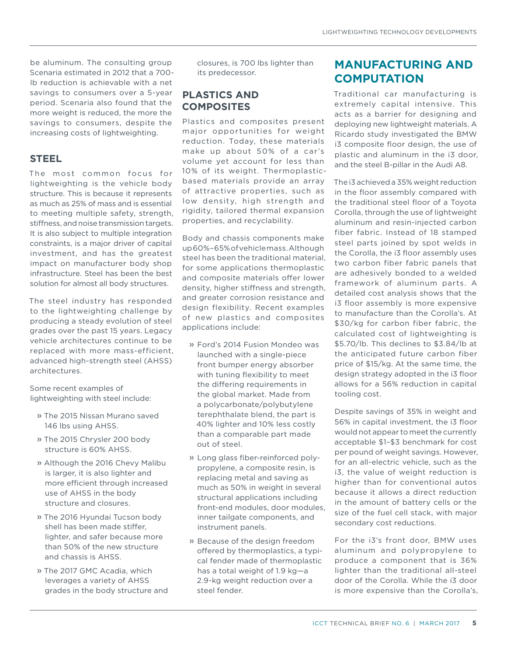be aluminum. The consulting group Scenaria estimated in 2012 that a 700 lb reduction is achievable with a net savings to consumers over a 5-year period. Scenaria also found that the more weight is reduced, the more the savings to consumers, despite the increasing costs of lightweighting.

#### **STEEL**

The most common focus for lightweighting is the vehicle body structure. This is because it represents as much as 25% of mass and is essential to meeting multiple safety, strength, stifness, and noise transmission targets. It is also subject to multiple integration constraints, is a major driver of capital investment, and has the greatest impact on manufacturer body shop infrastructure. Steel has been the best solution for almost all body structures.

The steel industry has responded to the lightweighting challenge by producing a steady evolution of steel grades over the past 15 years. Legacy vehicle architectures continue to be replaced with more mass-efficient, advanced high-strength steel (AHSS) architectures.

Some recent examples of lightweighting with steel include:

- » The 2015 Nissan Murano saved 146 lbs using AHSS.
- » The 2015 Chrysler 200 body structure is 60% AHSS.
- » Although the 2016 Chevy Malibu is larger, it is also lighter and more efficient through increased use of AHSS in the body structure and closures.
- » The 2016 Hyundai Tucson body shell has been made stifer, lighter, and safer because more than 50% of the new structure and chassis is AHSS.
- » The 2017 GMC Acadia, which leverages a variety of AHSS grades in the body structure and

closures, is 700 lbs lighter than its predecessor.

### **PLASTICS AND COMPOSITES**

Plastics and composites present major opportunities for weight reduction. Today, these materials make up about 50% of a car's volume yet account for less than 10% of its weight. Thermoplasticbased materials provide an array of attractive properties, such as low density, high strength and rigidity, tailored thermal expansion properties, and recyclability.

Body and chassis components make up 60%–65% of vehicle mass. Although steel has been the traditional material, for some applications thermoplastic and composite materials offer lower density, higher stifness and strength, and greater corrosion resistance and design flexibility. Recent examples of new plastics and composites applications include:

- » Ford's 2014 Fusion Mondeo was launched with a single-piece front bumper energy absorber with tuning flexibility to meet the difering requirements in the global market. Made from a polycarbonate/polybutylene terephthalate blend, the part is 40% lighter and 10% less costly than a comparable part made out of steel.
- » Long glass fiber-reinforced polypropylene, a composite resin, is replacing metal and saving as much as 50% in weight in several structural applications including front-end modules, door modules, inner tailgate components, and instrument panels.
- » Because of the design freedom offered by thermoplastics, a typical fender made of thermoplastic has a total weight of 1.9 kg—a 2.9-kg weight reduction over a steel fender.

# **MANUFACTURING AND COMPUTATION**

Traditional car manufacturing is extremely capital intensive. This acts as a barrier for designing and deploying new lightweight materials. A Ricardo study investigated the BMW i3 composite floor design, the use of plastic and aluminum in the i3 door, and the steel B-pillar in the Audi A8.

The i3 achieved a 35% weight reduction in the floor assembly compared with the traditional steel floor of a Toyota Corolla, through the use of lightweight aluminum and resin-injected carbon fiber fabric. Instead of 18 stamped steel parts joined by spot welds in the Corolla, the i3 floor assembly uses two carbon fiber fabric panels that are adhesively bonded to a welded framework of aluminum parts. A detailed cost analysis shows that the i3 floor assembly is more expensive to manufacture than the Corolla's. At \$30/kg for carbon fiber fabric, the calculated cost of lightweighting is \$5.70/lb. This declines to \$3.84/lb at the anticipated future carbon fiber price of \$15/kg. At the same time, the design strategy adopted in the i3 floor allows for a 56% reduction in capital tooling cost.

Despite savings of 35% in weight and 56% in capital investment, the i3 floor would not appear to meet the currently acceptable \$1–\$3 benchmark for cost per pound of weight savings. However, for an all-electric vehicle, such as the i3, the value of weight reduction is higher than for conventional autos because it allows a direct reduction in the amount of battery cells or the size of the fuel cell stack, with major secondary cost reductions.

For the i3's front door, BMW uses aluminum and polypropylene to produce a component that is 36% lighter than the traditional all-steel door of the Corolla. While the i3 door is more expensive than the Corolla's,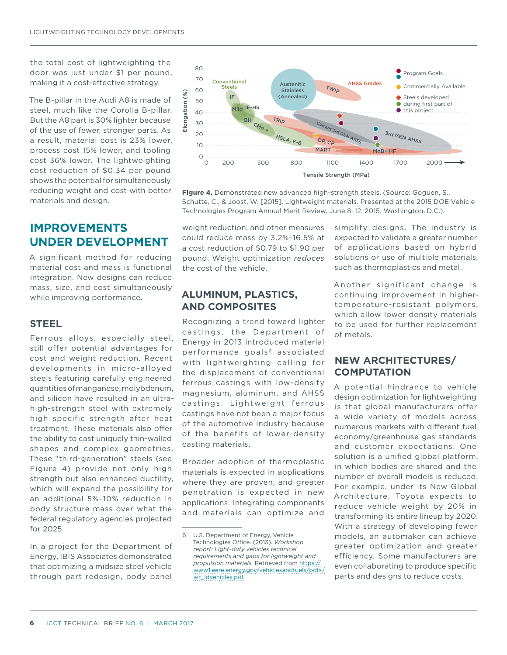the total cost of lightweighting the door was just under \$1 per pound, making it a cost-efective strategy.

The B-pillar in the Audi A8 is made of steel, much like the Corolla B-pillar. But the A8 part is 30% lighter because of the use of fewer, stronger parts. As a result, material cost is 23% lower, process cost 15% lower, and tooling cost 36% lower. The lightweighting cost reduction of \$0.34 per pound shows the potential for simultaneously reducing weight and cost with better materials and design.

### **IMPROVEMENTS UNDER DEVELOPMENT**

A significant method for reducing material cost and mass is functional integration. New designs can reduce mass, size, and cost simultaneously while improving performance.

#### **STEEL**

Ferrous alloys, especially steel, still offer potential advantages for cost and weight reduction. Recent developments in micro-alloyed steels featuring carefully engineered quantities of manganese, molybdenum, and silicon have resulted in an ultrahigh-strength steel with extremely high specific strength after heat treatment. These materials also offer the ability to cast uniquely thin-walled shapes and complex geometries. These "third-generation" steels (see Figure 4) provide not only high strength but also enhanced ductility, which will expand the possibility for an additional 5%–10% reduction in body structure mass over what the federal regulatory agencies projected for 2025.

In a project for the Department of Energy, IBIS Associates demonstrated that optimizing a midsize steel vehicle through part redesign, body panel



**Figure 4.** Demonstrated new advanced high-strength steels. (Source: Goguen, S., Schutte, C., & Joost, W. [2015]. Lightweight materials. Presented at the 2015 DOE Vehicle Technologies Program Annual Merit Review, June 8–12, 2015, Washington, D.C.).

weight reduction, and other measures could reduce mass by 3.2%–16.5% at a cost reduction of \$0.79 to \$1.90 per pound. Weight optimization *reduces* the cost of the vehicle.

#### **ALUMINUM, PLASTICS, AND COMPOSITES**

Recognizing a trend toward lighter castings, the Department of Energy in 2013 introduced material performance goals<sup>6</sup> associated with lightweighting calling for the displacement of conventional ferrous castings with low-density magnesium, aluminum, and AHSS castings. Lightweight ferrous castings have not been a major focus of the automotive industry because of the benefits of lower-density casting materials.

Broader adoption of thermoplastic materials is expected in applications where they are proven, and greater penetration is expected in new applications. Integrating components and materials can optimize and

simplify designs. The industry is expected to validate a greater number of applications based on hybrid solutions or use of multiple materials, such as thermoplastics and metal.

Another significant change is continuing improvement in highertemperature-resistant polymers, which allow lower density materials to be used for further replacement of metals.

#### **NEW ARCHITECTURES/ COMPUTATION**

A potential hindrance to vehicle design optimization for lightweighting is that global manufacturers offer a wide variety of models across numerous markets with diferent fuel economy/greenhouse gas standards and customer expectations. One solution is a unified global platform. in which bodies are shared and the number of overall models is reduced. For example, under its New Global Architecture, Toyota expects to reduce vehicle weight by 20% in transforming its entire lineup by 2020. With a strategy of developing fewer models, an automaker can achieve greater optimization and greater efficiency. Some manufacturers are even collaborating to produce specific parts and designs to reduce costs.

<sup>6</sup> U.S. Department of Energy, Vehicle Technologies Office. (2013). Workshop *report: Light-duty vehicles technical requirements and gaps for lightweight and propulsion materials.* Retrieved from [https://](https://www1.eere.energy.gov/vehiclesandfuels/pdfs/wr_ldvehicles.pdf) [www1.eere.energy.gov/vehiclesandfuels/pdfs/](https://www1.eere.energy.gov/vehiclesandfuels/pdfs/wr_ldvehicles.pdf) [wr\\_ldvehicles.pdf](https://www1.eere.energy.gov/vehiclesandfuels/pdfs/wr_ldvehicles.pdf)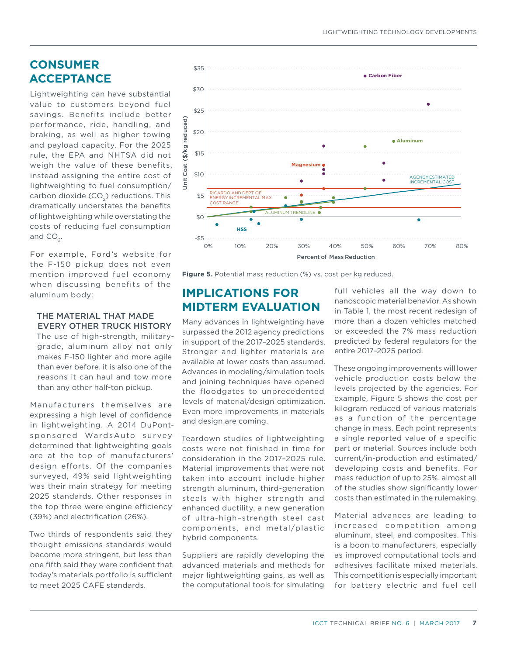# **CONSUMER ACCEPTANCE**

Lightweighting can have substantial value to customers beyond fuel savings. Benefits include better performance, ride, handling, and braking, as well as higher towing and payload capacity. For the 2025 rule, the EPA and NHTSA did not weigh the value of these benefits, instead assigning the entire cost of lightweighting to fuel consumption/ carbon dioxide  $(CO<sub>2</sub>)$  reductions. This dramatically understates the benefits of lightweighting while overstating the costs of reducing fuel consumption and  $CO<sub>2</sub>$ .

For example, Ford's website for the F-150 pickup does not even mention improved fuel economy when discussing benefits of the aluminum body:

#### THE MATERIAL THAT MADE EVERY OTHER TRUCK HISTORY

The use of high-strength, militarygrade, aluminum alloy not only makes F-150 lighter and more agile than ever before, it is also one of the reasons it can haul and tow more than any other half-ton pickup.

Manufacturers themselves are expressing a high level of confidence in lightweighting. A 2014 DuPontsponsored WardsAuto survey determined that lightweighting goals are at the top of manufacturers' design efforts. Of the companies surveyed, 49% said lightweighting was their main strategy for meeting 2025 standards. Other responses in the top three were engine efficiency (39%) and electrification (26%).

Two thirds of respondents said they thought emissions standards would become more stringent, but less than one fifth said they were confident that today's materials portfolio is sufficient to meet 2025 CAFE standards.



**Figure 5.** Potential mass reduction (%) vs. cost per kg reduced.

### **IMPLICATIONS FOR MIDTERM EVALUATION**

Many advances in lightweighting have surpassed the 2012 agency predictions in support of the 2017–2025 standards. Stronger and lighter materials are available at lower costs than assumed. Advances in modeling/simulation tools and joining techniques have opened the floodgates to unprecedented levels of material/design optimization. Even more improvements in materials and design are coming.

Teardown studies of lightweighting costs were not finished in time for consideration in the 2017–2025 rule. Material improvements that were not taken into account include higher strength aluminum, third-generation steels with higher strength and enhanced ductility, a new generation of ultra-high–strength steel cast components, and metal/plastic hybrid components.

Suppliers are rapidly developing the advanced materials and methods for major lightweighting gains, as well as the computational tools for simulating

full vehicles all the way down to nanoscopic material behavior. As shown in Table 1, the most recent redesign of more than a dozen vehicles matched or exceeded the 7% mass reduction predicted by federal regulators for the entire 2017–2025 period.

These ongoing improvements will lower vehicle production costs below the levels projected by the agencies. For example, Figure 5 shows the cost per kilogram reduced of various materials as a function of the percentage change in mass. Each point represents a single reported value of a specific part or material. Sources include both current/in-production and estimated/ developing costs and benefits. For mass reduction of up to 25%, almost all of the studies show significantly lower costs than estimated in the rulemaking.

Material advances are leading to increased competition among aluminum, steel, and composites. This is a boon to manufacturers, especially as improved computational tools and adhesives facilitate mixed materials. This competition is especially important for battery electric and fuel cell